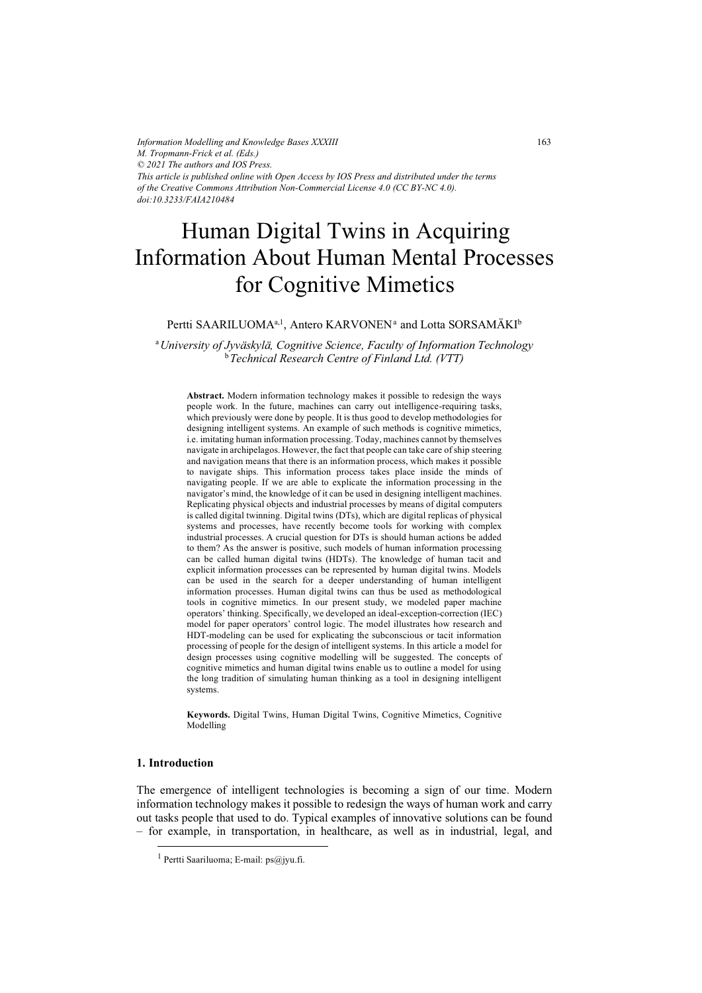*Information Modelling and Knowledge Bases XXXIII M. Tropmann-Frick et al. (Eds.) © 2021 The authors and IOS Press. This article is published online with Open Access by IOS Press and distributed under the terms of the Creative Commons Attribution Non-Commercial License 4.0 (CC BY-NC 4.0). doi:10.3233/FAIA210484*

# Human Digital Twins in Acquiring for Cognitive Mimetics Information About Human Mental Processes

# Pertti SAARILUOMA<sup>a,1</sup>, Antero KARVONEN<sup>a</sup> and Lotta SORSAMÄKI<sup>b</sup>

<sup>a</sup>*University of Jyväskylä, Cognitive Science, Faculty of Information Technology*  <sup>b</sup>*Technical Research Centre of Finland Ltd. (VTT)* 

**Abstract.** Modern information technology makes it possible to redesign the ways people work. In the future, machines can carry out intelligence-requiring tasks, which previously were done by people. It is thus good to develop methodologies for designing intelligent systems. An example of such methods is cognitive mimetics, i.e. imitating human information processing. Today, machines cannot by themselves navigate in archipelagos. However, the fact that people can take care of ship steering and navigation means that there is an information process, which makes it possible to navigate ships. This information process takes place inside the minds of navigating people. If we are able to explicate the information processing in the navigator's mind, the knowledge of it can be used in designing intelligent machines. Replicating physical objects and industrial processes by means of digital computers is called digital twinning. Digital twins (DTs), which are digital replicas of physical systems and processes, have recently become tools for working with complex industrial processes. A crucial question for DTs is should human actions be added to them? As the answer is positive, such models of human information processing can be called human digital twins (HDTs). The knowledge of human tacit and explicit information processes can be represented by human digital twins. Models can be used in the search for a deeper understanding of human intelligent information processes. Human digital twins can thus be used as methodological tools in cognitive mimetics. In our present study, we modeled paper machine operators' thinking. Specifically, we developed an ideal-exception-correction (IEC) model for paper operators' control logic. The model illustrates how research and HDT-modeling can be used for explicating the subconscious or tacit information processing of people for the design of intelligent systems. In this article a model for design processes using cognitive modelling will be suggested. The concepts of cognitive mimetics and human digital twins enable us to outline a model for using the long tradition of simulating human thinking as a tool in designing intelligent systems.

**Keywords.** Digital Twins, Human Digital Twins, Cognitive Mimetics, Cognitive Modelling

# **1. Introduction**

The emergence of intelligent technologies is becoming a sign of our time. Modern information technology makes it possible to redesign the ways of human work and carry out tasks people that used to do. Typical examples of innovative solutions can be found – for example, in transportation, in healthcare, as well as in industrial, legal, and

<sup>1</sup> Pertti Saariluoma; E-mail: ps@jyu.fi.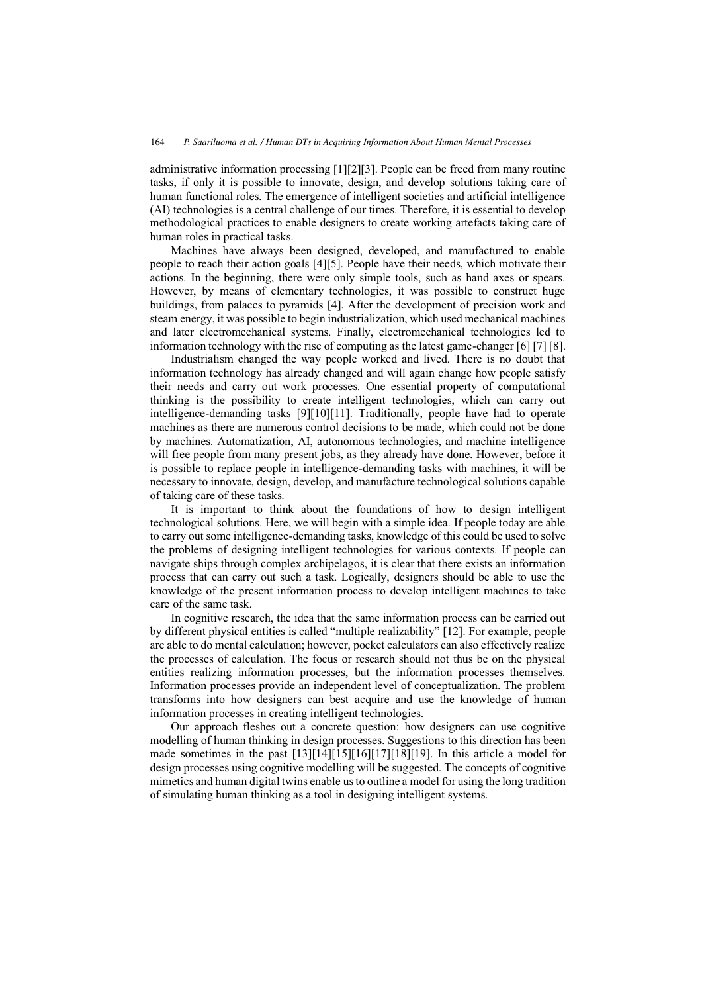administrative information processing [1][2][3]. People can be freed from many routine tasks, if only it is possible to innovate, design, and develop solutions taking care of human functional roles. The emergence of intelligent societies and artificial intelligence (AI) technologies is a central challenge of our times. Therefore, it is essential to develop methodological practices to enable designers to create working artefacts taking care of human roles in practical tasks.

Machines have always been designed, developed, and manufactured to enable people to reach their action goals [4][5]. People have their needs, which motivate their actions. In the beginning, there were only simple tools, such as hand axes or spears. However, by means of elementary technologies, it was possible to construct huge buildings, from palaces to pyramids [4]. After the development of precision work and steam energy, it was possible to begin industrialization, which used mechanical machines and later electromechanical systems. Finally, electromechanical technologies led to information technology with the rise of computing as the latest game-changer [6] [7] [8].

Industrialism changed the way people worked and lived. There is no doubt that information technology has already changed and will again change how people satisfy their needs and carry out work processes. One essential property of computational thinking is the possibility to create intelligent technologies, which can carry out intelligence-demanding tasks [9][10][11]. Traditionally, people have had to operate machines as there are numerous control decisions to be made, which could not be done by machines. Automatization, AI, autonomous technologies, and machine intelligence will free people from many present jobs, as they already have done. However, before it is possible to replace people in intelligence-demanding tasks with machines, it will be necessary to innovate, design, develop, and manufacture technological solutions capable of taking care of these tasks.

It is important to think about the foundations of how to design intelligent technological solutions. Here, we will begin with a simple idea. If people today are able to carry out some intelligence-demanding tasks, knowledge of this could be used to solve the problems of designing intelligent technologies for various contexts. If people can navigate ships through complex archipelagos, it is clear that there exists an information process that can carry out such a task. Logically, designers should be able to use the knowledge of the present information process to develop intelligent machines to take care of the same task.

In cognitive research, the idea that the same information process can be carried out by different physical entities is called "multiple realizability" [12]. For example, people are able to do mental calculation; however, pocket calculators can also effectively realize the processes of calculation. The focus or research should not thus be on the physical entities realizing information processes, but the information processes themselves. Information processes provide an independent level of conceptualization. The problem transforms into how designers can best acquire and use the knowledge of human information processes in creating intelligent technologies.

Our approach fleshes out a concrete question: how designers can use cognitive modelling of human thinking in design processes. Suggestions to this direction has been made sometimes in the past [13][14][15][16][17][18][19]. In this article a model for design processes using cognitive modelling will be suggested. The concepts of cognitive mimetics and human digital twins enable us to outline a model for using the long tradition of simulating human thinking as a tool in designing intelligent systems.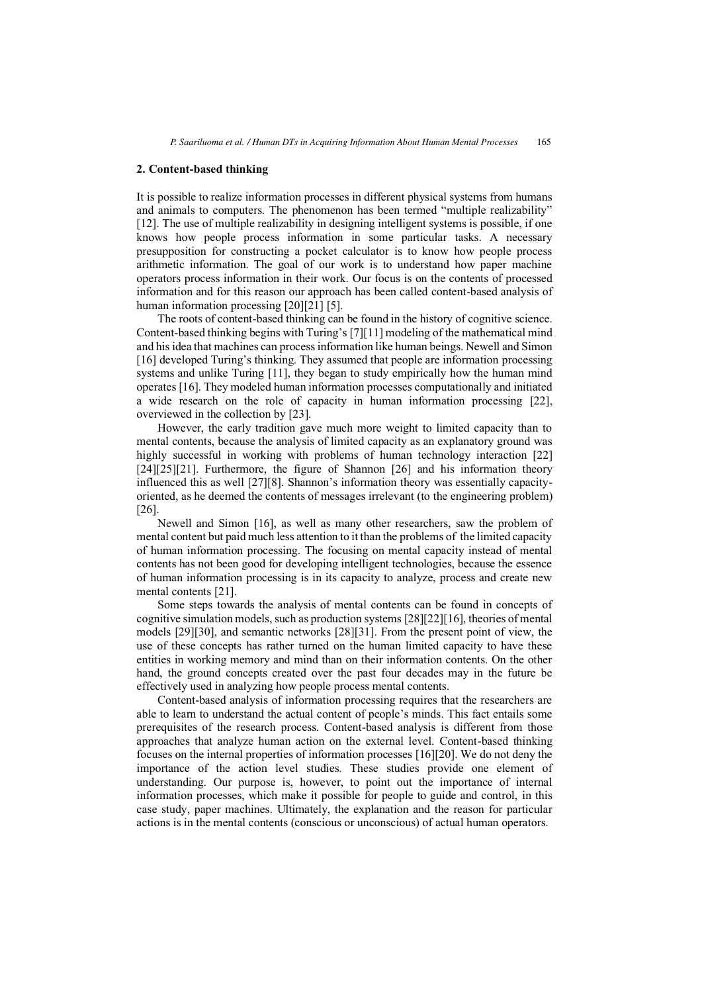## **2. Content-based thinking**

It is possible to realize information processes in different physical systems from humans and animals to computers. The phenomenon has been termed "multiple realizability" [12]. The use of multiple realizability in designing intelligent systems is possible, if one knows how people process information in some particular tasks. A necessary presupposition for constructing a pocket calculator is to know how people process arithmetic information. The goal of our work is to understand how paper machine operators process information in their work. Our focus is on the contents of processed information and for this reason our approach has been called content-based analysis of human information processing [20][21] [5].

The roots of content-based thinking can be found in the history of cognitive science. Content-based thinking begins with Turing's [7][11] modeling of the mathematical mind and his idea that machines can process information like human beings. Newell and Simon [16] developed Turing's thinking. They assumed that people are information processing systems and unlike Turing [11], they began to study empirically how the human mind operates [16]. They modeled human information processes computationally and initiated a wide research on the role of capacity in human information processing [22], overviewed in the collection by [23].

However, the early tradition gave much more weight to limited capacity than to mental contents, because the analysis of limited capacity as an explanatory ground was highly successful in working with problems of human technology interaction [22] [24][25][21]. Furthermore, the figure of Shannon [26] and his information theory influenced this as well [27][8]. Shannon's information theory was essentially capacityoriented, as he deemed the contents of messages irrelevant (to the engineering problem) [26].

Newell and Simon [16], as well as many other researchers, saw the problem of mental content but paid much less attention to it than the problems of the limited capacity of human information processing. The focusing on mental capacity instead of mental contents has not been good for developing intelligent technologies, because the essence of human information processing is in its capacity to analyze, process and create new mental contents [21].

Some steps towards the analysis of mental contents can be found in concepts of cognitive simulation models, such as production systems [28][22][16], theories of mental models [29][30], and semantic networks [28][31]. From the present point of view, the use of these concepts has rather turned on the human limited capacity to have these entities in working memory and mind than on their information contents. On the other hand, the ground concepts created over the past four decades may in the future be effectively used in analyzing how people process mental contents.

Content-based analysis of information processing requires that the researchers are able to learn to understand the actual content of people's minds. This fact entails some prerequisites of the research process. Content-based analysis is different from those approaches that analyze human action on the external level. Content-based thinking focuses on the internal properties of information processes [16][20]. We do not deny the importance of the action level studies. These studies provide one element of understanding. Our purpose is, however, to point out the importance of internal information processes, which make it possible for people to guide and control, in this case study, paper machines. Ultimately, the explanation and the reason for particular actions is in the mental contents (conscious or unconscious) of actual human operators.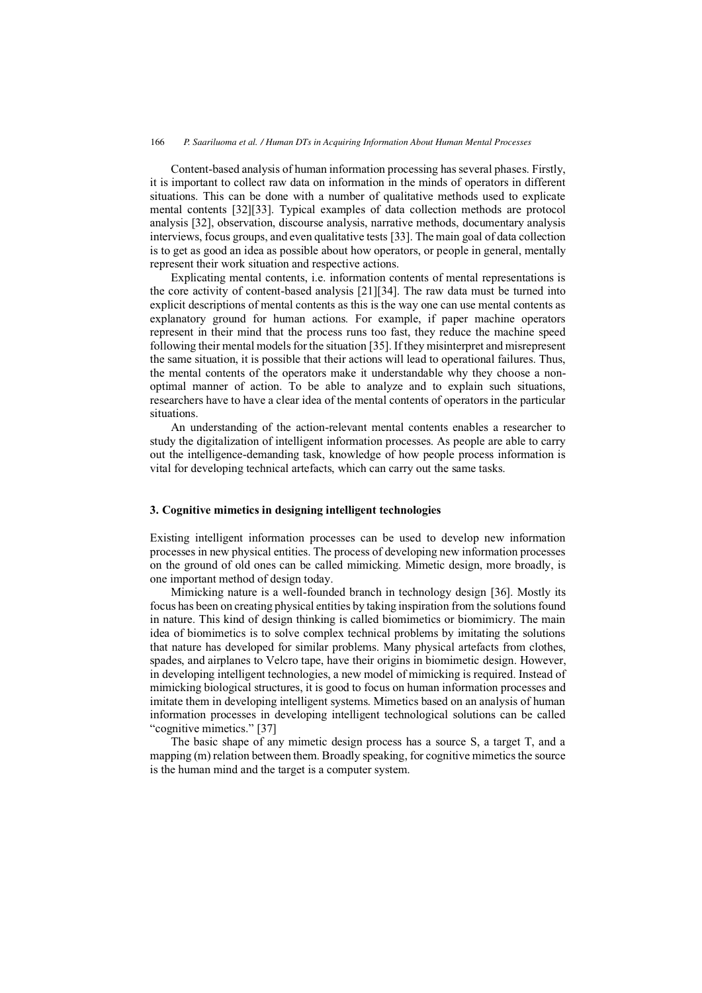Content-based analysis of human information processing has several phases. Firstly, it is important to collect raw data on information in the minds of operators in different situations. This can be done with a number of qualitative methods used to explicate mental contents [32][33]. Typical examples of data collection methods are protocol analysis [32], observation, discourse analysis, narrative methods, documentary analysis interviews, focus groups, and even qualitative tests [33]. The main goal of data collection is to get as good an idea as possible about how operators, or people in general, mentally represent their work situation and respective actions.

Explicating mental contents, i.e. information contents of mental representations is the core activity of content-based analysis [21][34]. The raw data must be turned into explicit descriptions of mental contents as this is the way one can use mental contents as explanatory ground for human actions. For example, if paper machine operators represent in their mind that the process runs too fast, they reduce the machine speed following their mental models for the situation [35]. If they misinterpret and misrepresent the same situation, it is possible that their actions will lead to operational failures. Thus, the mental contents of the operators make it understandable why they choose a nonoptimal manner of action. To be able to analyze and to explain such situations, researchers have to have a clear idea of the mental contents of operators in the particular situations.

An understanding of the action-relevant mental contents enables a researcher to study the digitalization of intelligent information processes. As people are able to carry out the intelligence-demanding task, knowledge of how people process information is vital for developing technical artefacts, which can carry out the same tasks.

## **3. Cognitive mimetics in designing intelligent technologies**

Existing intelligent information processes can be used to develop new information processes in new physical entities. The process of developing new information processes on the ground of old ones can be called mimicking. Mimetic design, more broadly, is one important method of design today.

Mimicking nature is a well-founded branch in technology design [36]. Mostly its focus has been on creating physical entities by taking inspiration from the solutions found in nature. This kind of design thinking is called biomimetics or biomimicry. The main idea of biomimetics is to solve complex technical problems by imitating the solutions that nature has developed for similar problems. Many physical artefacts from clothes, spades, and airplanes to Velcro tape, have their origins in biomimetic design. However, in developing intelligent technologies, a new model of mimicking is required. Instead of mimicking biological structures, it is good to focus on human information processes and imitate them in developing intelligent systems. Mimetics based on an analysis of human information processes in developing intelligent technological solutions can be called "cognitive mimetics." [37]

The basic shape of any mimetic design process has a source S, a target T, and a mapping (m) relation between them. Broadly speaking, for cognitive mimetics the source is the human mind and the target is a computer system.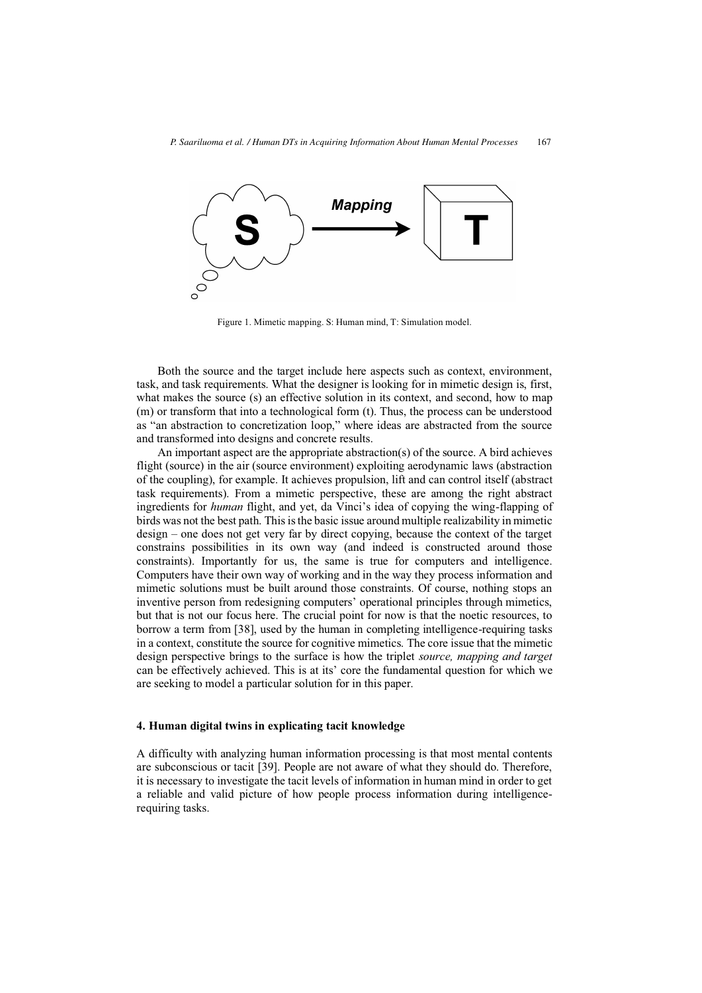

Figure 1. Mimetic mapping. S: Human mind, T: Simulation model.

Both the source and the target include here aspects such as context, environment, task, and task requirements. What the designer is looking for in mimetic design is, first, what makes the source (s) an effective solution in its context, and second, how to map (m) or transform that into a technological form (t). Thus, the process can be understood as "an abstraction to concretization loop," where ideas are abstracted from the source and transformed into designs and concrete results.

An important aspect are the appropriate abstraction(s) of the source. A bird achieves flight (source) in the air (source environment) exploiting aerodynamic laws (abstraction of the coupling), for example. It achieves propulsion, lift and can control itself (abstract task requirements). From a mimetic perspective, these are among the right abstract ingredients for *human* flight, and yet, da Vinci's idea of copying the wing-flapping of birds was not the best path. This is the basic issue around multiple realizability in mimetic design – one does not get very far by direct copying, because the context of the target constrains possibilities in its own way (and indeed is constructed around those constraints). Importantly for us, the same is true for computers and intelligence. Computers have their own way of working and in the way they process information and mimetic solutions must be built around those constraints. Of course, nothing stops an inventive person from redesigning computers' operational principles through mimetics, but that is not our focus here. The crucial point for now is that the noetic resources, to borrow a term from [38], used by the human in completing intelligence-requiring tasks in a context, constitute the source for cognitive mimetics. The core issue that the mimetic design perspective brings to the surface is how the triplet *source, mapping and target* can be effectively achieved. This is at its' core the fundamental question for which we are seeking to model a particular solution for in this paper.

#### **4. Human digital twins in explicating tacit knowledge**

A difficulty with analyzing human information processing is that most mental contents are subconscious or tacit [39]. People are not aware of what they should do. Therefore, it is necessary to investigate the tacit levels of information in human mind in order to get a reliable and valid picture of how people process information during intelligencerequiring tasks.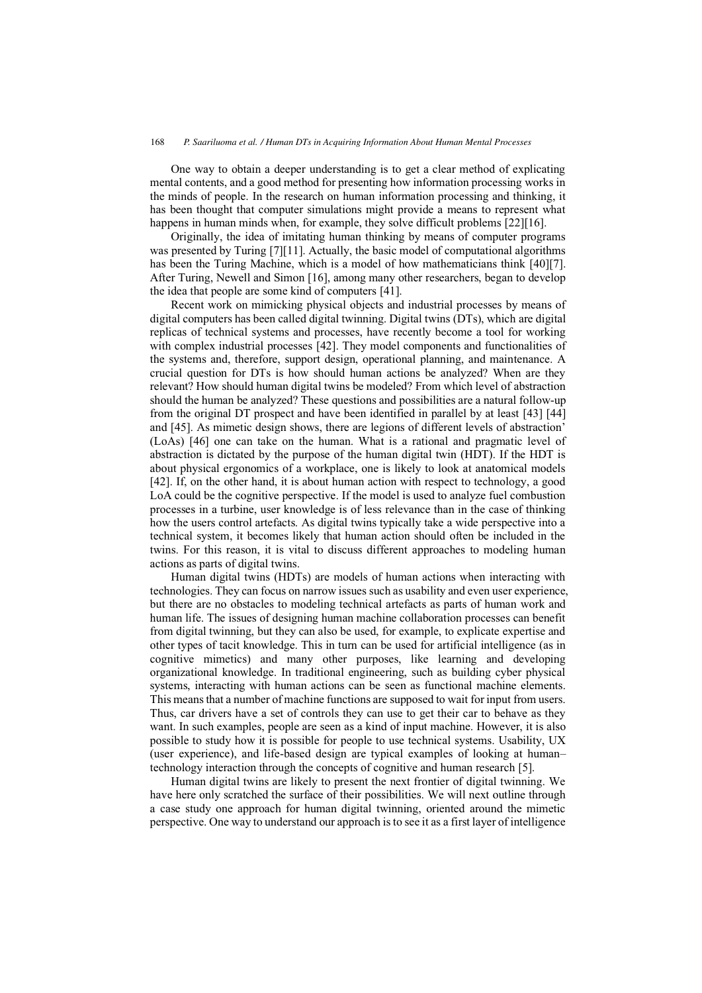One way to obtain a deeper understanding is to get a clear method of explicating mental contents, and a good method for presenting how information processing works in the minds of people. In the research on human information processing and thinking, it has been thought that computer simulations might provide a means to represent what happens in human minds when, for example, they solve difficult problems [22][16].

Originally, the idea of imitating human thinking by means of computer programs was presented by Turing [7][11]. Actually, the basic model of computational algorithms has been the Turing Machine, which is a model of how mathematicians think [40][7]. After Turing, Newell and Simon [16], among many other researchers, began to develop the idea that people are some kind of computers [41].

Recent work on mimicking physical objects and industrial processes by means of digital computers has been called digital twinning. Digital twins (DTs), which are digital replicas of technical systems and processes, have recently become a tool for working with complex industrial processes [42]. They model components and functionalities of the systems and, therefore, support design, operational planning, and maintenance. A crucial question for DTs is how should human actions be analyzed? When are they relevant? How should human digital twins be modeled? From which level of abstraction should the human be analyzed? These questions and possibilities are a natural follow-up from the original DT prospect and have been identified in parallel by at least [43] [44] and [45]. As mimetic design shows, there are legions of different levels of abstraction' (LoAs) [46] one can take on the human. What is a rational and pragmatic level of abstraction is dictated by the purpose of the human digital twin (HDT). If the HDT is about physical ergonomics of a workplace, one is likely to look at anatomical models [42]. If, on the other hand, it is about human action with respect to technology, a good LoA could be the cognitive perspective. If the model is used to analyze fuel combustion processes in a turbine, user knowledge is of less relevance than in the case of thinking how the users control artefacts. As digital twins typically take a wide perspective into a technical system, it becomes likely that human action should often be included in the twins. For this reason, it is vital to discuss different approaches to modeling human actions as parts of digital twins.

Human digital twins (HDTs) are models of human actions when interacting with technologies. They can focus on narrow issues such as usability and even user experience, but there are no obstacles to modeling technical artefacts as parts of human work and human life. The issues of designing human machine collaboration processes can benefit from digital twinning, but they can also be used, for example, to explicate expertise and other types of tacit knowledge. This in turn can be used for artificial intelligence (as in cognitive mimetics) and many other purposes, like learning and developing organizational knowledge. In traditional engineering, such as building cyber physical systems, interacting with human actions can be seen as functional machine elements. This means that a number of machine functions are supposed to wait for input from users. Thus, car drivers have a set of controls they can use to get their car to behave as they want. In such examples, people are seen as a kind of input machine. However, it is also possible to study how it is possible for people to use technical systems. Usability, UX (user experience), and life-based design are typical examples of looking at human– technology interaction through the concepts of cognitive and human research [5].

Human digital twins are likely to present the next frontier of digital twinning. We have here only scratched the surface of their possibilities. We will next outline through a case study one approach for human digital twinning, oriented around the mimetic perspective. One way to understand our approach is to see it as a first layer of intelligence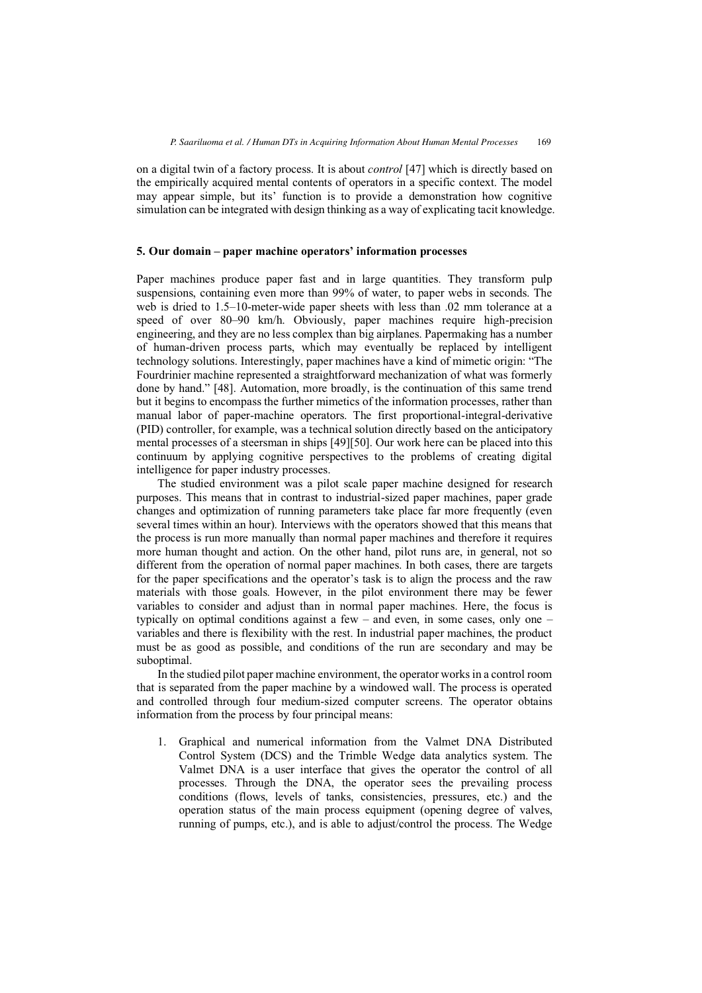on a digital twin of a factory process. It is about *control* [47] which is directly based on the empirically acquired mental contents of operators in a specific context. The model may appear simple, but its' function is to provide a demonstration how cognitive simulation can be integrated with design thinking as a way of explicating tacit knowledge.

## **5. Our domain – paper machine operators' information processes**

Paper machines produce paper fast and in large quantities. They transform pulp suspensions, containing even more than 99% of water, to paper webs in seconds. The web is dried to 1.5–10-meter-wide paper sheets with less than .02 mm tolerance at a speed of over 80–90 km/h. Obviously, paper machines require high-precision engineering, and they are no less complex than big airplanes. Papermaking has a number of human-driven process parts, which may eventually be replaced by intelligent technology solutions. Interestingly, paper machines have a kind of mimetic origin: "The Fourdrinier machine represented a straightforward mechanization of what was formerly done by hand." [48]. Automation, more broadly, is the continuation of this same trend but it begins to encompass the further mimetics of the information processes, rather than manual labor of paper-machine operators. The first proportional-integral-derivative (PID) controller, for example, was a technical solution directly based on the anticipatory mental processes of a steersman in ships [49][50]. Our work here can be placed into this continuum by applying cognitive perspectives to the problems of creating digital intelligence for paper industry processes.

The studied environment was a pilot scale paper machine designed for research purposes. This means that in contrast to industrial-sized paper machines, paper grade changes and optimization of running parameters take place far more frequently (even several times within an hour). Interviews with the operators showed that this means that the process is run more manually than normal paper machines and therefore it requires more human thought and action. On the other hand, pilot runs are, in general, not so different from the operation of normal paper machines. In both cases, there are targets for the paper specifications and the operator's task is to align the process and the raw materials with those goals. However, in the pilot environment there may be fewer variables to consider and adjust than in normal paper machines. Here, the focus is typically on optimal conditions against a few – and even, in some cases, only one – variables and there is flexibility with the rest. In industrial paper machines, the product must be as good as possible, and conditions of the run are secondary and may be suboptimal.

In the studied pilot paper machine environment, the operator works in a control room that is separated from the paper machine by a windowed wall. The process is operated and controlled through four medium-sized computer screens. The operator obtains information from the process by four principal means:

1. Graphical and numerical information from the Valmet DNA Distributed Control System (DCS) and the Trimble Wedge data analytics system. The Valmet DNA is a user interface that gives the operator the control of all processes. Through the DNA, the operator sees the prevailing process conditions (flows, levels of tanks, consistencies, pressures, etc.) and the operation status of the main process equipment (opening degree of valves, running of pumps, etc.), and is able to adjust/control the process. The Wedge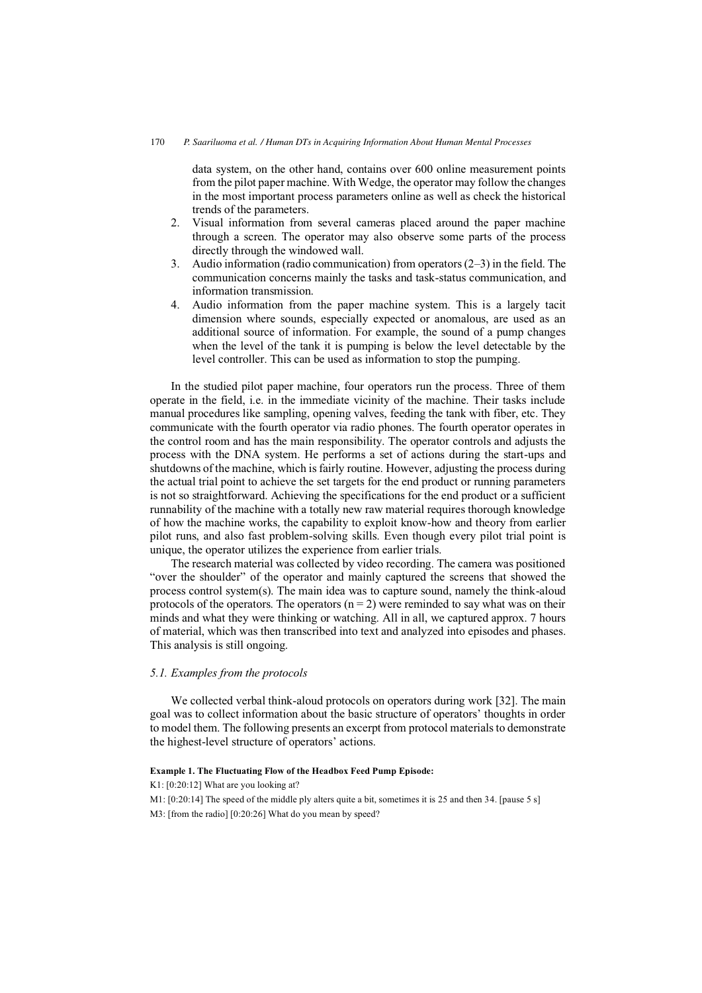data system, on the other hand, contains over 600 online measurement points from the pilot paper machine. With Wedge, the operator may follow the changes in the most important process parameters online as well as check the historical trends of the parameters.

- 2. Visual information from several cameras placed around the paper machine through a screen. The operator may also observe some parts of the process directly through the windowed wall.
- 3. Audio information (radio communication) from operators (2–3) in the field. The communication concerns mainly the tasks and task-status communication, and information transmission.
- 4. Audio information from the paper machine system. This is a largely tacit dimension where sounds, especially expected or anomalous, are used as an additional source of information. For example, the sound of a pump changes when the level of the tank it is pumping is below the level detectable by the level controller. This can be used as information to stop the pumping.

In the studied pilot paper machine, four operators run the process. Three of them operate in the field, i.e. in the immediate vicinity of the machine. Their tasks include manual procedures like sampling, opening valves, feeding the tank with fiber, etc. They communicate with the fourth operator via radio phones. The fourth operator operates in the control room and has the main responsibility. The operator controls and adjusts the process with the DNA system. He performs a set of actions during the start-ups and shutdowns of the machine, which is fairly routine. However, adjusting the process during the actual trial point to achieve the set targets for the end product or running parameters is not so straightforward. Achieving the specifications for the end product or a sufficient runnability of the machine with a totally new raw material requires thorough knowledge of how the machine works, the capability to exploit know-how and theory from earlier pilot runs, and also fast problem-solving skills. Even though every pilot trial point is unique, the operator utilizes the experience from earlier trials.

The research material was collected by video recording. The camera was positioned "over the shoulder" of the operator and mainly captured the screens that showed the process control system(s). The main idea was to capture sound, namely the think-aloud protocols of the operators. The operators  $(n = 2)$  were reminded to say what was on their minds and what they were thinking or watching. All in all, we captured approx. 7 hours of material, which was then transcribed into text and analyzed into episodes and phases. This analysis is still ongoing.

# *5.1. Examples from the protocols*

We collected verbal think-aloud protocols on operators during work [32]. The main goal was to collect information about the basic structure of operators' thoughts in order to model them. The following presents an excerpt from protocol materials to demonstrate the highest-level structure of operators' actions.

## **Example 1. The Fluctuating Flow of the Headbox Feed Pump Episode:**

K1: [0:20:12] What are you looking at?

M1: [0:20:14] The speed of the middle ply alters quite a bit, sometimes it is 25 and then 34. [pause 5 s]

M3: [from the radio] [0:20:26] What do you mean by speed?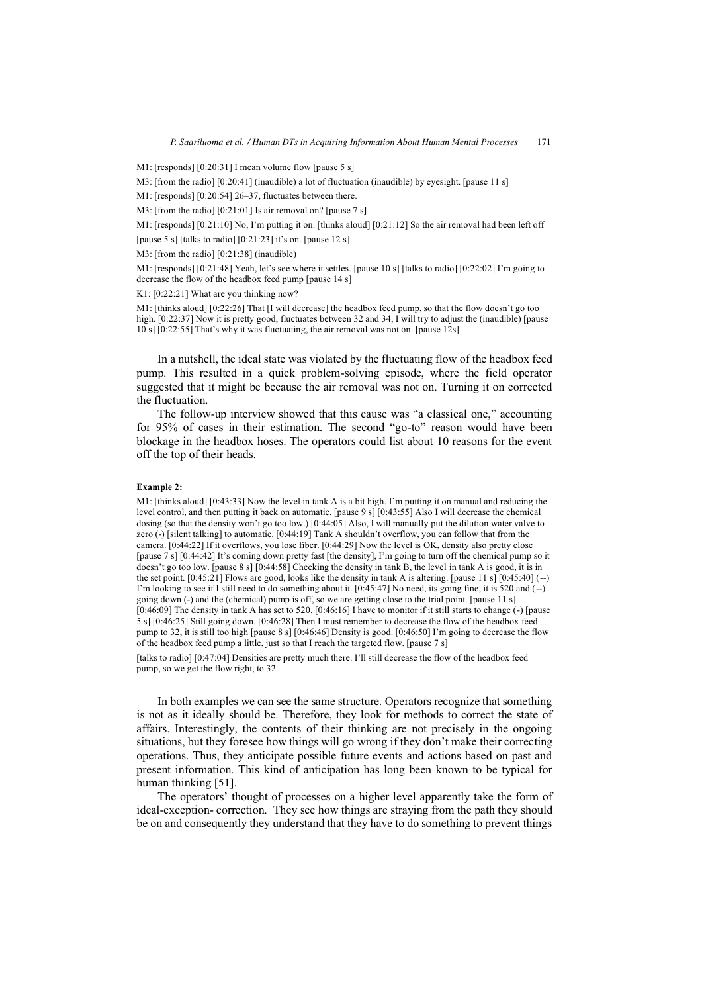M1: [responds] [0:20:31] I mean volume flow [pause 5 s]

M3: [from the radio] [0:20:41] (inaudible) a lot of fluctuation (inaudible) by eyesight. [pause 11 s]

M1: [responds] [0:20:54] 26–37, fluctuates between there.

M3: [from the radio] [0:21:01] Is air removal on? [pause 7 s]

M1: [responds] [0:21:10] No, I'm putting it on. [thinks aloud] [0:21:12] So the air removal had been left off

[pause 5 s] [talks to radio]  $[0:21:23]$  it's on. [pause 12 s]

M3: [from the radio] [0:21:38] (inaudible)

M1: [responds] [0:21:48] Yeah, let's see where it settles. [pause 10 s] [talks to radio] [0:22:02] I'm going to decrease the flow of the headbox feed pump [pause 14 s]

K1: [0:22:21] What are you thinking now?

M1: [thinks aloud] [0:22:26] That [I will decrease] the headbox feed pump, so that the flow doesn't go too high. [0:22:37] Now it is pretty good, fluctuates between 32 and 34, I will try to adjust the (inaudible) [pause 10 s] [0:22:55] That's why it was fluctuating, the air removal was not on. [pause 12s]

In a nutshell, the ideal state was violated by the fluctuating flow of the headbox feed pump. This resulted in a quick problem-solving episode, where the field operator suggested that it might be because the air removal was not on. Turning it on corrected the fluctuation.

The follow-up interview showed that this cause was "a classical one," accounting for 95% of cases in their estimation. The second "go-to" reason would have been blockage in the headbox hoses. The operators could list about 10 reasons for the event off the top of their heads.

#### **Example 2:**

M1: [thinks aloud] [0:43:33] Now the level in tank A is a bit high. I'm putting it on manual and reducing the level control, and then putting it back on automatic. [pause 9 s] [0:43:55] Also I will decrease the chemical dosing (so that the density won't go too low.) [0:44:05] Also, I will manually put the dilution water valve to zero (-) [silent talking] to automatic. [0:44:19] Tank A shouldn't overflow, you can follow that from the camera. [0:44:22] If it overflows, you lose fiber. [0:44:29] Now the level is OK, density also pretty close [pause 7 s] [0:44:42] It's coming down pretty fast [the density], I'm going to turn off the chemical pump so it doesn't go too low. [pause 8 s] [0:44:58] Checking the density in tank B, the level in tank A is good, it is in the set point.  $[0:45:21]$  Flows are good, looks like the density in tank A is altering. [pause 11 s]  $[0:45:40]$  (--) I'm looking to see if I still need to do something about it. [0:45:47] No need, its going fine, it is 520 and (--) going down (-) and the (chemical) pump is off, so we are getting close to the trial point. [pause 11 s] [0:46:09] The density in tank A has set to 520. [0:46:16] I have to monitor if it still starts to change (-) [pause 5 s] [0:46:25] Still going down. [0:46:28] Then I must remember to decrease the flow of the headbox feed pump to 32, it is still too high [pause 8 s] [0:46:46] Density is good. [0:46:50] I'm going to decrease the flow of the headbox feed pump a little, just so that I reach the targeted flow. [pause 7 s]

[talks to radio] [0:47:04] Densities are pretty much there. I'll still decrease the flow of the headbox feed pump, so we get the flow right, to 32.

In both examples we can see the same structure. Operators recognize that something is not as it ideally should be. Therefore, they look for methods to correct the state of affairs. Interestingly, the contents of their thinking are not precisely in the ongoing situations, but they foresee how things will go wrong if they don't make their correcting operations. Thus, they anticipate possible future events and actions based on past and present information. This kind of anticipation has long been known to be typical for human thinking [51].

The operators' thought of processes on a higher level apparently take the form of ideal-exception- correction. They see how things are straying from the path they should be on and consequently they understand that they have to do something to prevent things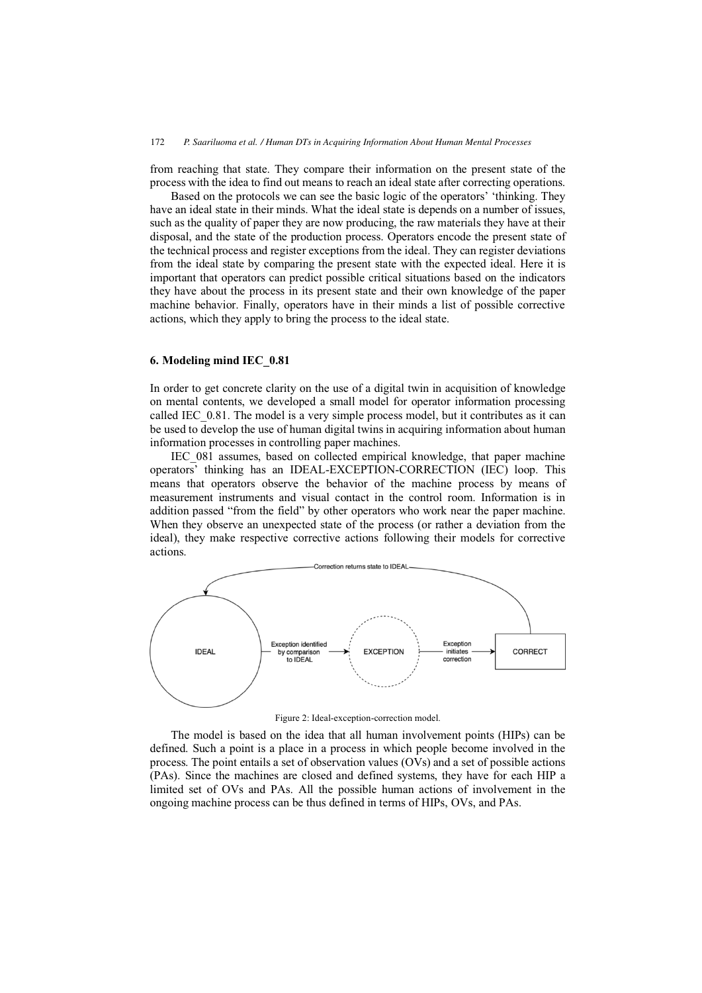from reaching that state. They compare their information on the present state of the process with the idea to find out means to reach an ideal state after correcting operations.

Based on the protocols we can see the basic logic of the operators' 'thinking. They have an ideal state in their minds. What the ideal state is depends on a number of issues, such as the quality of paper they are now producing, the raw materials they have at their disposal, and the state of the production process. Operators encode the present state of the technical process and register exceptions from the ideal. They can register deviations from the ideal state by comparing the present state with the expected ideal. Here it is important that operators can predict possible critical situations based on the indicators they have about the process in its present state and their own knowledge of the paper machine behavior. Finally, operators have in their minds a list of possible corrective actions, which they apply to bring the process to the ideal state.

## **6. Modeling mind IEC\_0.81**

In order to get concrete clarity on the use of a digital twin in acquisition of knowledge on mental contents, we developed a small model for operator information processing called IEC 0.81. The model is a very simple process model, but it contributes as it can be used to develop the use of human digital twins in acquiring information about human information processes in controlling paper machines.

IEC\_081 assumes, based on collected empirical knowledge, that paper machine operators' thinking has an IDEAL-EXCEPTION-CORRECTION (IEC) loop. This means that operators observe the behavior of the machine process by means of measurement instruments and visual contact in the control room. Information is in addition passed "from the field" by other operators who work near the paper machine. When they observe an unexpected state of the process (or rather a deviation from the ideal), they make respective corrective actions following their models for corrective actions.



Figure 2: Ideal-exception-correction model.

The model is based on the idea that all human involvement points (HIPs) can be defined. Such a point is a place in a process in which people become involved in the process. The point entails a set of observation values (OVs) and a set of possible actions (PAs). Since the machines are closed and defined systems, they have for each HIP a limited set of OVs and PAs. All the possible human actions of involvement in the ongoing machine process can be thus defined in terms of HIPs, OVs, and PAs.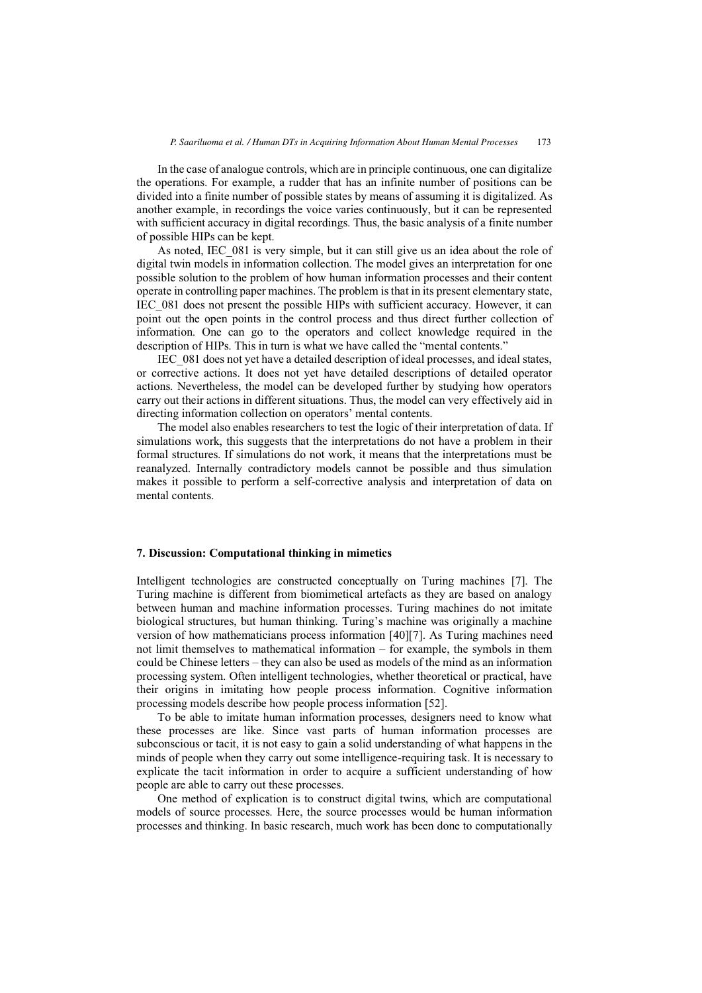In the case of analogue controls, which are in principle continuous, one can digitalize the operations. For example, a rudder that has an infinite number of positions can be divided into a finite number of possible states by means of assuming it is digitalized. As another example, in recordings the voice varies continuously, but it can be represented with sufficient accuracy in digital recordings. Thus, the basic analysis of a finite number of possible HIPs can be kept.

As noted, IEC\_081 is very simple, but it can still give us an idea about the role of digital twin models in information collection. The model gives an interpretation for one possible solution to the problem of how human information processes and their content operate in controlling paper machines. The problem is that in its present elementary state, IEC\_081 does not present the possible HIPs with sufficient accuracy. However, it can point out the open points in the control process and thus direct further collection of information. One can go to the operators and collect knowledge required in the description of HIPs. This in turn is what we have called the "mental contents."

IEC\_081 does not yet have a detailed description of ideal processes, and ideal states, or corrective actions. It does not yet have detailed descriptions of detailed operator actions. Nevertheless, the model can be developed further by studying how operators carry out their actions in different situations. Thus, the model can very effectively aid in directing information collection on operators' mental contents.

The model also enables researchers to test the logic of their interpretation of data. If simulations work, this suggests that the interpretations do not have a problem in their formal structures. If simulations do not work, it means that the interpretations must be reanalyzed. Internally contradictory models cannot be possible and thus simulation makes it possible to perform a self-corrective analysis and interpretation of data on mental contents.

## **7. Discussion: Computational thinking in mimetics**

Intelligent technologies are constructed conceptually on Turing machines [7]. The Turing machine is different from biomimetical artefacts as they are based on analogy between human and machine information processes. Turing machines do not imitate biological structures, but human thinking. Turing's machine was originally a machine version of how mathematicians process information [40][7]. As Turing machines need not limit themselves to mathematical information – for example, the symbols in them could be Chinese letters – they can also be used as models of the mind as an information processing system. Often intelligent technologies, whether theoretical or practical, have their origins in imitating how people process information. Cognitive information processing models describe how people process information [52].

To be able to imitate human information processes, designers need to know what these processes are like. Since vast parts of human information processes are subconscious or tacit, it is not easy to gain a solid understanding of what happens in the minds of people when they carry out some intelligence-requiring task. It is necessary to explicate the tacit information in order to acquire a sufficient understanding of how people are able to carry out these processes.

One method of explication is to construct digital twins, which are computational models of source processes. Here, the source processes would be human information processes and thinking. In basic research, much work has been done to computationally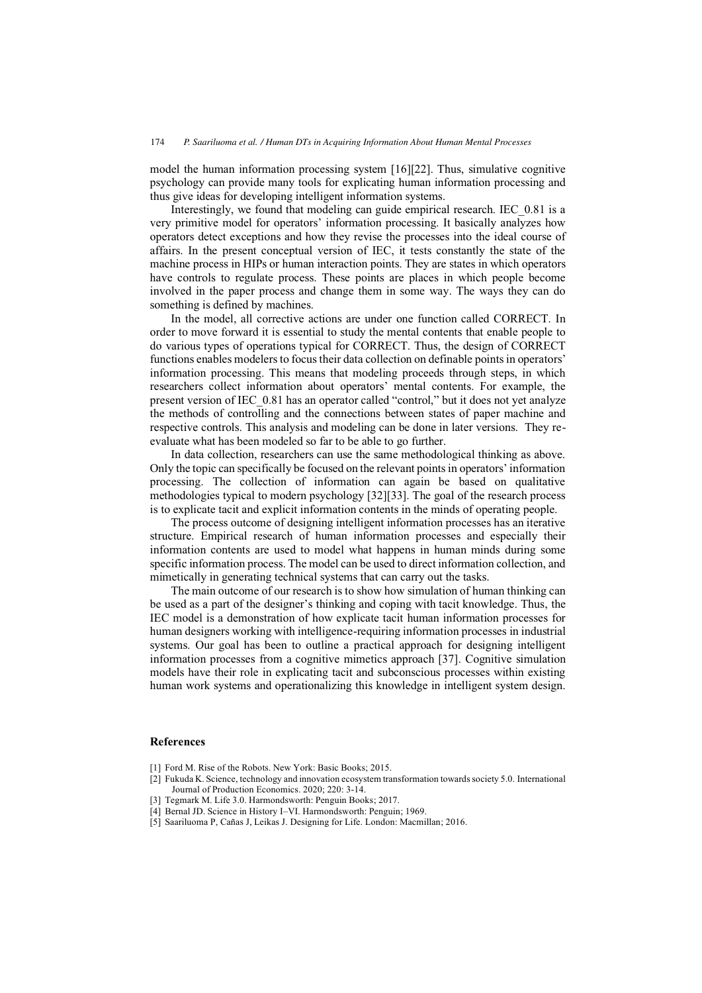model the human information processing system [16][22]. Thus, simulative cognitive psychology can provide many tools for explicating human information processing and thus give ideas for developing intelligent information systems.

Interestingly, we found that modeling can guide empirical research. IEC\_0.81 is a very primitive model for operators' information processing. It basically analyzes how operators detect exceptions and how they revise the processes into the ideal course of affairs. In the present conceptual version of IEC, it tests constantly the state of the machine process in HIPs or human interaction points. They are states in which operators have controls to regulate process. These points are places in which people become involved in the paper process and change them in some way. The ways they can do something is defined by machines.

In the model, all corrective actions are under one function called CORRECT. In order to move forward it is essential to study the mental contents that enable people to do various types of operations typical for CORRECT. Thus, the design of CORRECT functions enables modelers to focus their data collection on definable points in operators' information processing. This means that modeling proceeds through steps, in which researchers collect information about operators' mental contents. For example, the present version of IEC\_0.81 has an operator called "control," but it does not yet analyze the methods of controlling and the connections between states of paper machine and respective controls. This analysis and modeling can be done in later versions. They reevaluate what has been modeled so far to be able to go further.

In data collection, researchers can use the same methodological thinking as above. Only the topic can specifically be focused on the relevant points in operators' information processing. The collection of information can again be based on qualitative methodologies typical to modern psychology [32][33]. The goal of the research process is to explicate tacit and explicit information contents in the minds of operating people.

The process outcome of designing intelligent information processes has an iterative structure. Empirical research of human information processes and especially their information contents are used to model what happens in human minds during some specific information process. The model can be used to direct information collection, and mimetically in generating technical systems that can carry out the tasks.

The main outcome of our research is to show how simulation of human thinking can be used as a part of the designer's thinking and coping with tacit knowledge. Thus, the IEC model is a demonstration of how explicate tacit human information processes for human designers working with intelligence-requiring information processes in industrial systems. Our goal has been to outline a practical approach for designing intelligent information processes from a cognitive mimetics approach [37]. Cognitive simulation models have their role in explicating tacit and subconscious processes within existing human work systems and operationalizing this knowledge in intelligent system design.

#### **References**

- [1] Ford M. Rise of the Robots. New York: Basic Books; 2015.
- [2] Fukuda K. Science, technology and innovation ecosystem transformation towards society 5.0. International Journal of Production Economics. 2020; 220: 3-14.
- [3] Tegmark M. Life 3.0. Harmondsworth: Penguin Books; 2017.
- [4] Bernal JD. Science in History I–VI. Harmondsworth: Penguin; 1969.
- [5] Saariluoma P, Cañas J, Leikas J. Designing for Life. London: Macmillan; 2016.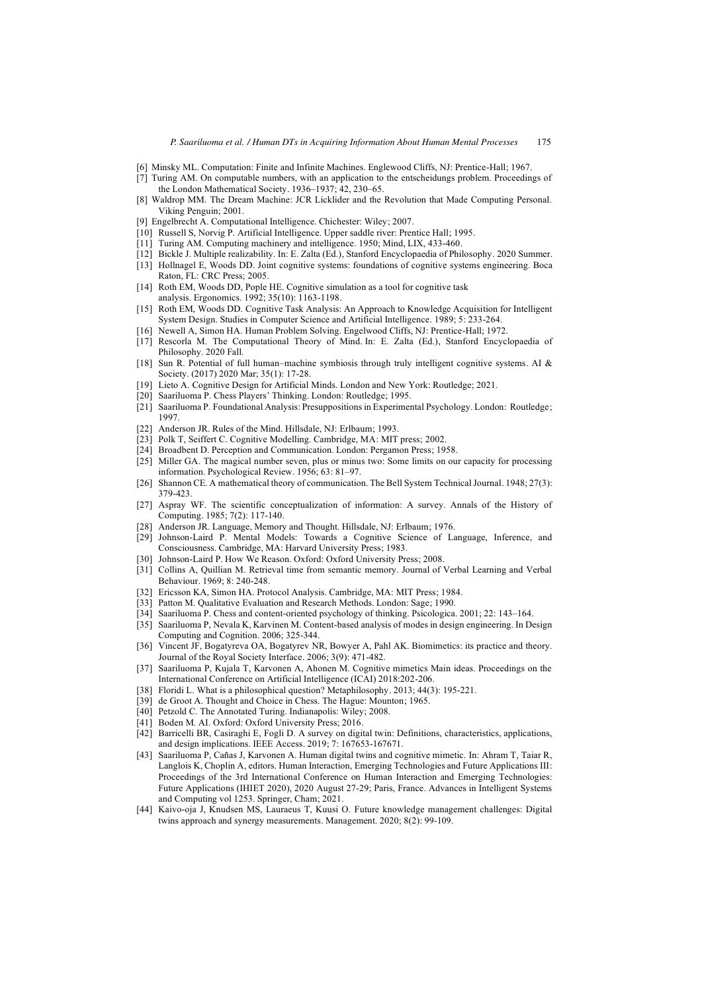- [6] Minsky ML. Computation: Finite and Infinite Machines. Englewood Cliffs, NJ: Prentice-Hall; 1967.
- [7] Turing AM. On computable numbers, with an application to the entscheidungs problem. Proceedings of the London Mathematical Society. 1936–1937; 42, 230–65.
- [8] Waldrop MM. The Dream Machine: JCR Licklider and the Revolution that Made Computing Personal. Viking Penguin; 2001.
- [9] Engelbrecht A. Computational Intelligence. Chichester: Wiley; 2007.
- [10] Russell S, Norvig P. Artificial Intelligence. Upper saddle river: Prentice Hall; 1995.
- [11] Turing AM. Computing machinery and intelligence. 1950; Mind, LIX, 433-460.
- [12] Bickle J. Multiple realizability. In: E. Zalta (Ed.), Stanford Encyclopaedia of Philosophy. 2020 Summer.
- [13] Hollnagel E, Woods DD. Joint cognitive systems: foundations of cognitive systems engineering. Boca Raton, FL: CRC Press; 2005.
- [14] Roth EM, Woods DD, Pople HE. Cognitive simulation as a tool for cognitive task analysis. Ergonomics. 1992; 35(10): 1163-1198.
- [15] Roth EM, Woods DD. Cognitive Task Analysis: An Approach to Knowledge Acquisition for Intelligent System Design. Studies in Computer Science and Artificial Intelligence. 1989; 5: 233-264.
- [16] Newell A, Simon HA. Human Problem Solving. Engelwood Cliffs, NJ: Prentice-Hall; 1972.
- [17] Rescorla M. The Computational Theory of Mind. In: E. Zalta (Ed.), Stanford Encyclopaedia of Philosophy. 2020 Fall.
- [18] Sun R. Potential of full human–machine symbiosis through truly intelligent cognitive systems. AI & Society. (2017) 2020 Mar; 35(1): 17-28.
- [19] Lieto A. Cognitive Design for Artificial Minds. London and New York: Routledge; 2021.
- [20] Saariluoma P. Chess Players' Thinking. London: Routledge; 1995.
- [21] Saariluoma P. Foundational Analysis: Presuppositions in Experimental Psychology. London: Routledge; 1997.
- [22] Anderson JR. Rules of the Mind. Hillsdale, NJ: Erlbaum; 1993.
- [23] Polk T, Seiffert C. Cognitive Modelling. Cambridge, MA: MIT press; 2002.
- [24] Broadbent D. Perception and Communication. London: Pergamon Press; 1958.
- [25] Miller GA. The magical number seven, plus or minus two: Some limits on our capacity for processing information. Psychological Review. 1956; 63: 81–97.
- [26] Shannon CE. A mathematical theory of communication. The Bell System Technical Journal. 1948; 27(3): 379-423.
- [27] Aspray WF. The scientific conceptualization of information: A survey. Annals of the History of Computing. 1985; 7(2): 117-140.
- [28] Anderson JR. Language, Memory and Thought. Hillsdale, NJ: Erlbaum; 1976.
- [29] Johnson-Laird P. Mental Models: Towards a Cognitive Science of Language, Inference, and Consciousness. Cambridge, MA: Harvard University Press; 1983.
- [30] Johnson-Laird P. How We Reason. Oxford: Oxford University Press; 2008.
- [31] Collins A, Quillian M. Retrieval time from semantic memory. Journal of Verbal Learning and Verbal Behaviour. 1969; 8: 240-248.
- [32] Ericsson KA, Simon HA. Protocol Analysis. Cambridge, MA: MIT Press; 1984.
- [33] Patton M. Qualitative Evaluation and Research Methods. London: Sage; 1990.
- [34] Saariluoma P. Chess and content-oriented psychology of thinking. Psicologica. 2001; 22: 143–164.
- [35] Saariluoma P, Nevala K, Karvinen M. Content-based analysis of modes in design engineering. In Design Computing and Cognition. 2006; 325-344.
- [36] Vincent JF, Bogatyreva OA, Bogatyrev NR, Bowyer A, Pahl AK. Biomimetics: its practice and theory. Journal of the Royal Society Interface. 2006; 3(9): 471-482.
- [37] Saariluoma P, Kujala T, Karvonen A, Ahonen M. Cognitive mimetics Main ideas. Proceedings on the International Conference on Artificial Intelligence (ICAI) 2018:202-206.
- [38] Floridi L. What is a philosophical question? Metaphilosophy. 2013; 44(3): 195-221.
- [39] de Groot A. Thought and Choice in Chess. The Hague: Mounton: 1965.
- [40] Petzold C. The Annotated Turing. Indianapolis: Wiley: 2008.
- [41] Boden M. AI. Oxford: Oxford University Press; 2016.
- [42] Barricelli BR, Casiraghi E, Fogli D. A survey on digital twin: Definitions, characteristics, applications, and design implications. IEEE Access. 2019; 7: 167653-167671.
- [43] Saariluoma P, Cañas J, Karvonen A. Human digital twins and cognitive mimetic. In: Ahram T, Taiar R, Langlois K, Choplin A, editors. Human Interaction, Emerging Technologies and Future Applications III: Proceedings of the 3rd International Conference on Human Interaction and Emerging Technologies: Future Applications (IHIET 2020), 2020 August 27-29; Paris, France. Advances in Intelligent Systems and Computing vol 1253. Springer, Cham; 2021.
- [44] Kaivo-oja J, Knudsen MS, Lauraeus T, Kuusi O. Future knowledge management challenges: Digital twins approach and synergy measurements. Management. 2020; 8(2): 99-109.